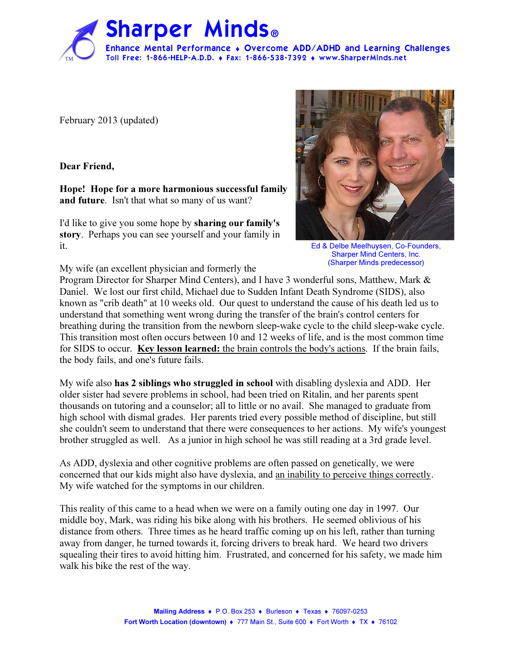

February 2013 (updated)

Dear Friend,

Hope! Hope for a more harmonious successful family and future. Isn't that what so many of us want?

I'd like to give you some hope by sharing our family's story. Perhaps you can see yourself and your family in it.



Ed & Delbe Meelhuysen, Co-Founders, Sharper Mind Centers, Inc. (Sharper Minds predecessor)

My wife (an excellent physician and formerly the

Program Director for Sharper Mind Centers), and I have 3 wonderful sons, Matthew, Mark & Daniel. We lost our first child, Michael due to Sudden Infant Death Syndrome (SIDS), also known as "crib death" at 10 weeks old. Our quest to understand the cause of his death led us to understand that something went wrong during the transfer of the brain's control centers for breathing during the transition from the newborn sleep-wake cycle to the child sleep-wake cycle. This transition most often occurs between 10 and 12 weeks of life, and is the most common time for SIDS to occur. Key lesson learned: the brain controls the body's actions. If the brain fails, the body fails, and one's future fails.

My wife also has 2 siblings who struggled in school with disabling dyslexia and ADD. Her older sister had severe problems in school, had been tried on Ritalin, and her parents spent thousands on tutoring and a counselor; all to little or no avail. She managed to graduate from high school with dismal grades. Her parents tried every possible method of discipline, but still she couldn't seem to understand that there were consequences to her actions. My wife's youngest brother struggled as well. As a junior in high school he was still reading at a 3rd grade level.

As ADD, dyslexia and other cognitive problems are often passed on genetically, we were concerned that our kids might also have dyslexia, and an inability to perceive things correctly. My wife watched for the symptoms in our children.

This reality of this came to a head when we were on a family outing one day in 1997. Our middle boy, Mark, was riding his bike along with his brothers. He seemed oblivious of his distance from others. Three times as he heard traffic coming up on his left, rather than turning away from danger, he turned towards it, forcing drivers to break hard. We heard two drivers squealing their tires to avoid hitting him. Frustrated, and concerned for his safety, we made him walk his bike the rest of the way.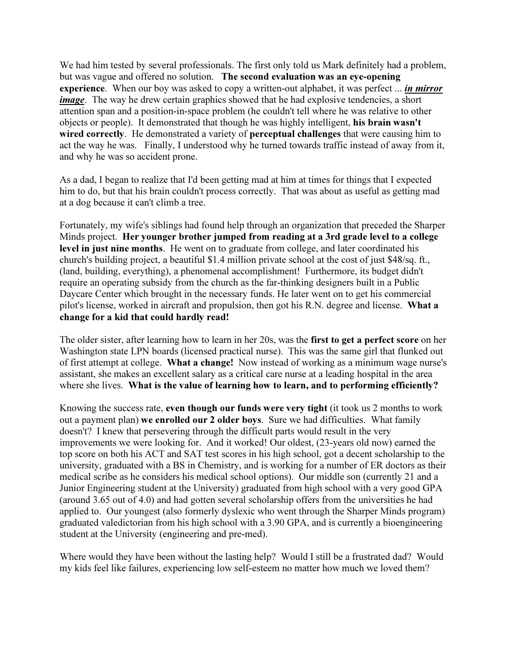We had him tested by several professionals. The first only told us Mark definitely had a problem, but was vague and offered no solution. The second evaluation was an eye-opening experience. When our boy was asked to copy a written-out alphabet, it was perfect ... *in mirror image*. The way he drew certain graphics showed that he had explosive tendencies, a short attention span and a position-in-space problem (he couldn't tell where he was relative to other objects or people). It demonstrated that though he was highly intelligent, his brain wasn't wired correctly. He demonstrated a variety of perceptual challenges that were causing him to act the way he was. Finally, I understood why he turned towards traffic instead of away from it, and why he was so accident prone.

As a dad, I began to realize that I'd been getting mad at him at times for things that I expected him to do, but that his brain couldn't process correctly. That was about as useful as getting mad at a dog because it can't climb a tree.

Fortunately, my wife's siblings had found help through an organization that preceded the Sharper Minds project. Her younger brother jumped from reading at a 3rd grade level to a college level in just nine months. He went on to graduate from college, and later coordinated his church's building project, a beautiful \$1.4 million private school at the cost of just \$48/sq. ft., (land, building, everything), a phenomenal accomplishment! Furthermore, its budget didn't require an operating subsidy from the church as the far-thinking designers built in a Public Daycare Center which brought in the necessary funds. He later went on to get his commercial pilot's license, worked in aircraft and propulsion, then got his R.N. degree and license. What a change for a kid that could hardly read!

The older sister, after learning how to learn in her 20s, was the first to get a perfect score on her Washington state LPN boards (licensed practical nurse). This was the same girl that flunked out of first attempt at college. What a change! Now instead of working as a minimum wage nurse's assistant, she makes an excellent salary as a critical care nurse at a leading hospital in the area where she lives. What is the value of learning how to learn, and to performing efficiently?

Knowing the success rate, even though our funds were very tight (it took us 2 months to work out a payment plan) we enrolled our 2 older boys. Sure we had difficulties. What family doesn't? I knew that persevering through the difficult parts would result in the very improvements we were looking for. And it worked! Our oldest, (23-years old now) earned the top score on both his ACT and SAT test scores in his high school, got a decent scholarship to the university, graduated with a BS in Chemistry, and is working for a number of ER doctors as their medical scribe as he considers his medical school options). Our middle son (currently 21 and a Junior Engineering student at the University) graduated from high school with a very good GPA (around 3.65 out of 4.0) and had gotten several scholarship offers from the universities he had applied to. Our youngest (also formerly dyslexic who went through the Sharper Minds program) graduated valedictorian from his high school with a 3.90 GPA, and is currently a bioengineering student at the University (engineering and pre-med).

Where would they have been without the lasting help? Would I still be a frustrated dad? Would my kids feel like failures, experiencing low self-esteem no matter how much we loved them?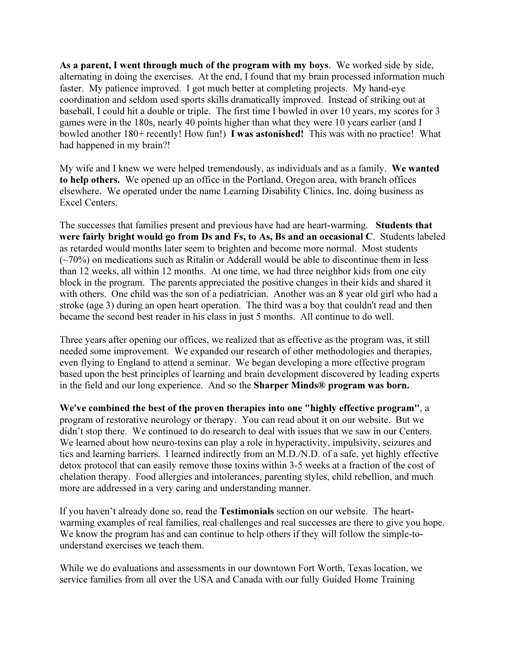As a parent, I went through much of the program with my boys. We worked side by side, alternating in doing the exercises. At the end, I found that my brain processed information much faster. My patience improved. I got much better at completing projects. My hand-eye coordination and seldom used sports skills dramatically improved. Instead of striking out at baseball, I could hit a double or triple. The first time I bowled in over 10 years, my scores for 3 games were in the 180s, nearly 40 points higher than what they were 10 years earlier (and I bowled another 180+ recently! How fun!) I was astonished! This was with no practice! What had happened in my brain?!

My wife and I knew we were helped tremendously, as individuals and as a family. We wanted to help others. We opened up an office in the Portland, Oregon area, with branch offices elsewhere. We operated under the name Learning Disability Clinics, Inc. doing business as Excel Centers.

The successes that families present and previous have had are heart-warming. Students that were fairly bright would go from Ds and Fs, to As, Bs and an occasional C. Students labeled as retarded would months later seem to brighten and become more normal. Most students  $(\sim 70\%)$  on medications such as Ritalin or Adderall would be able to discontinue them in less than 12 weeks, all within 12 months. At one time, we had three neighbor kids from one city block in the program. The parents appreciated the positive changes in their kids and shared it with others. One child was the son of a pediatrician. Another was an 8 year old girl who had a stroke (age 3) during an open heart operation. The third was a boy that couldn't read and then became the second best reader in his class in just 5 months. All continue to do well.

Three years after opening our offices, we realized that as effective as the program was, it still needed some improvement. We expanded our research of other methodologies and therapies, even flying to England to attend a seminar. We began developing a more effective program based upon the best principles of learning and brain development discovered by leading experts in the field and our long experience. And so the Sharper Minds® program was born.

We've combined the best of the proven therapies into one "highly effective program", a program of restorative neurology or therapy. You can read about it on our website. But we didn't stop there. We continued to do research to deal with issues that we saw in our Centers. We learned about how neuro-toxins can play a role in hyperactivity, impulsivity, seizures and tics and learning barriers. I learned indirectly from an M.D./N.D. of a safe, yet highly effective detox protocol that can easily remove those toxins within 3-5 weeks at a fraction of the cost of chelation therapy. Food allergies and intolerances, parenting styles, child rebellion, and much more are addressed in a very caring and understanding manner.

If you haven't already done so, read the Testimonials section on our website. The heartwarming examples of real families, real challenges and real successes are there to give you hope. We know the program has and can continue to help others if they will follow the simple-tounderstand exercises we teach them.

While we do evaluations and assessments in our downtown Fort Worth, Texas location, we service families from all over the USA and Canada with our fully Guided Home Training